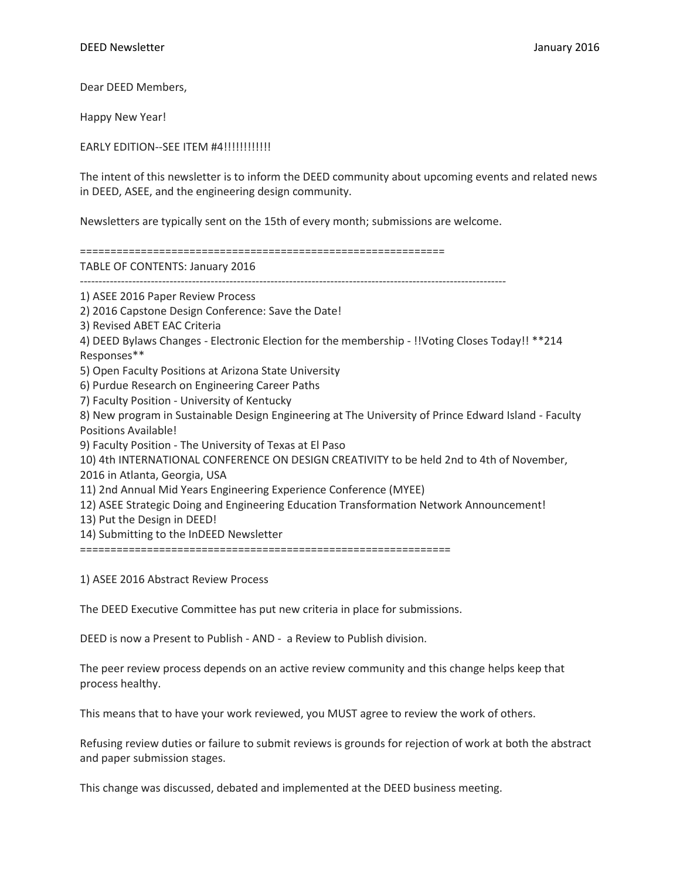Dear DEED Members,

Happy New Year!

EARLY EDITION--SEE ITEM #4!!!!!!!!!!!!!!

The intent of this newsletter is to inform the DEED community about upcoming events and related news in DEED, ASEE, and the engineering design community.

Newsletters are typically sent on the 15th of every month; submissions are welcome.

============================================================ TABLE OF CONTENTS: January 2016 ------------------------------------------------------------------------------------------------------------------ 1) ASEE 2016 Paper Review Process 2) 2016 Capstone Design Conference: Save the Date! 3) Revised ABET EAC Criteria 4) DEED Bylaws Changes - Electronic Election for the membership - !!Voting Closes Today!! \*\*214 Responses\*\* 5) Open Faculty Positions at Arizona State University 6) Purdue Research on Engineering Career Paths 7) Faculty Position - University of Kentucky 8) New program in Sustainable Design Engineering at The University of Prince Edward Island - Faculty Positions Available! 9) Faculty Position - The University of Texas at El Paso 10) 4th INTERNATIONAL CONFERENCE ON DESIGN CREATIVITY to be held 2nd to 4th of November, 2016 in Atlanta, Georgia, USA 11) 2nd Annual Mid Years Engineering Experience Conference (MYEE) 12) ASEE Strategic Doing and Engineering Education Transformation Network Announcement! 13) Put the Design in DEED! 14) Submitting to the InDEED Newsletter =============================================================

1) ASEE 2016 Abstract Review Process

The DEED Executive Committee has put new criteria in place for submissions.

DEED is now a Present to Publish - AND - a Review to Publish division.

The peer review process depends on an active review community and this change helps keep that process healthy.

This means that to have your work reviewed, you MUST agree to review the work of others.

Refusing review duties or failure to submit reviews is grounds for rejection of work at both the abstract and paper submission stages.

This change was discussed, debated and implemented at the DEED business meeting.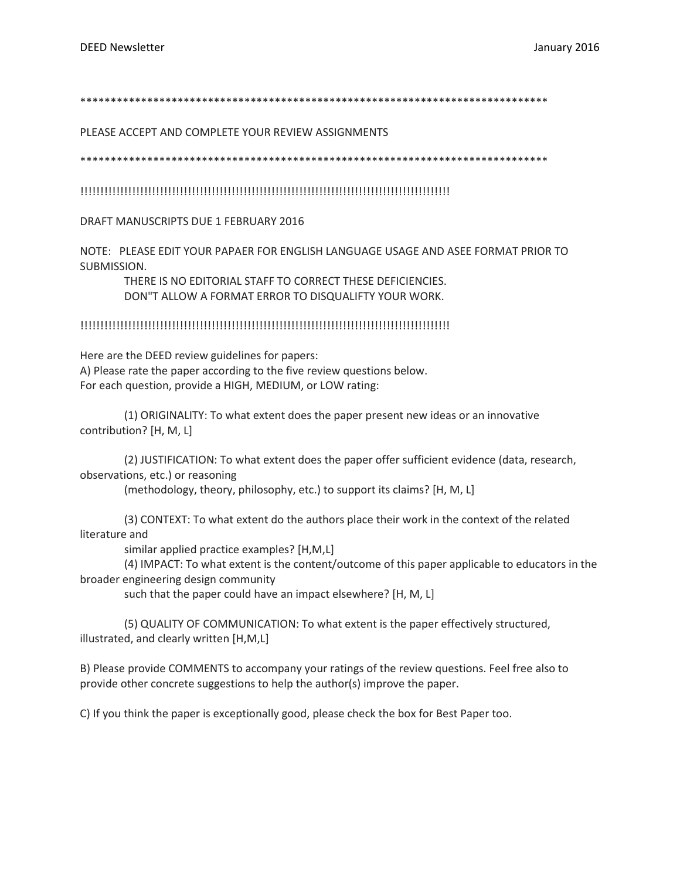\*\*\*\*\*\*\*\*\*\*\*\*\*\*\*\*\*\*\*\*\*\*\*\*\*\*\*\*\*\*\*\*\*\*\*\*\*\*\*\*\*\*\*\*\*\*\*\*\*\*\*\*\*\*\*\*\*\*\*\*\*\*\*\*\*\*\*\*\*\*\*\*\*\*\*\*\*

PLEASE ACCEPT AND COMPLETE YOUR REVIEW ASSIGNMENTS

\*\*\*\*\*\*\*\*\*\*\*\*\*\*\*\*\*\*\*\*\*\*\*\*\*\*\*\*\*\*\*\*\*\*\*\*\*\*\*\*\*\*\*\*\*\*\*\*\*\*\*\*\*\*\*\*\*\*\*\*\*\*\*\*\*\*\*\*\*\*\*\*\*\*\*\*\*

!!!!!!!!!!!!!!!!!!!!!!!!!!!!!!!!!!!!!!!!!!!!!!!!!!!!!!!!!!!!!!!!!!!!!!!!!!!!!!!!!!!!!!!!!!!!!

DRAFT MANUSCRIPTS DUE 1 FEBRUARY 2016

NOTE: PLEASE EDIT YOUR PAPAER FOR ENGLISH LANGUAGE USAGE AND ASEE FORMAT PRIOR TO SUBMISSION.

THERE IS NO EDITORIAL STAFF TO CORRECT THESE DEFICIENCIES. DON"T ALLOW A FORMAT ERROR TO DISQUALIFTY YOUR WORK.

!!!!!!!!!!!!!!!!!!!!!!!!!!!!!!!!!!!!!!!!!!!!!!!!!!!!!!!!!!!!!!!!!!!!!!!!!!!!!!!!!!!!!!!!!!!!!

Here are the DEED review guidelines for papers: A) Please rate the paper according to the five review questions below. For each question, provide a HIGH, MEDIUM, or LOW rating:

(1) ORIGINALITY: To what extent does the paper present new ideas or an innovative contribution? [H, M, L]

(2) JUSTIFICATION: To what extent does the paper offer sufficient evidence (data, research, observations, etc.) or reasoning

(methodology, theory, philosophy, etc.) to support its claims? [H, M, L]

(3) CONTEXT: To what extent do the authors place their work in the context of the related literature and

similar applied practice examples? [H,M,L]

(4) IMPACT: To what extent is the content/outcome of this paper applicable to educators in the broader engineering design community

such that the paper could have an impact elsewhere? [H, M, L]

(5) QUALITY OF COMMUNICATION: To what extent is the paper effectively structured, illustrated, and clearly written [H,M,L]

B) Please provide COMMENTS to accompany your ratings of the review questions. Feel free also to provide other concrete suggestions to help the author(s) improve the paper.

C) If you think the paper is exceptionally good, please check the box for Best Paper too.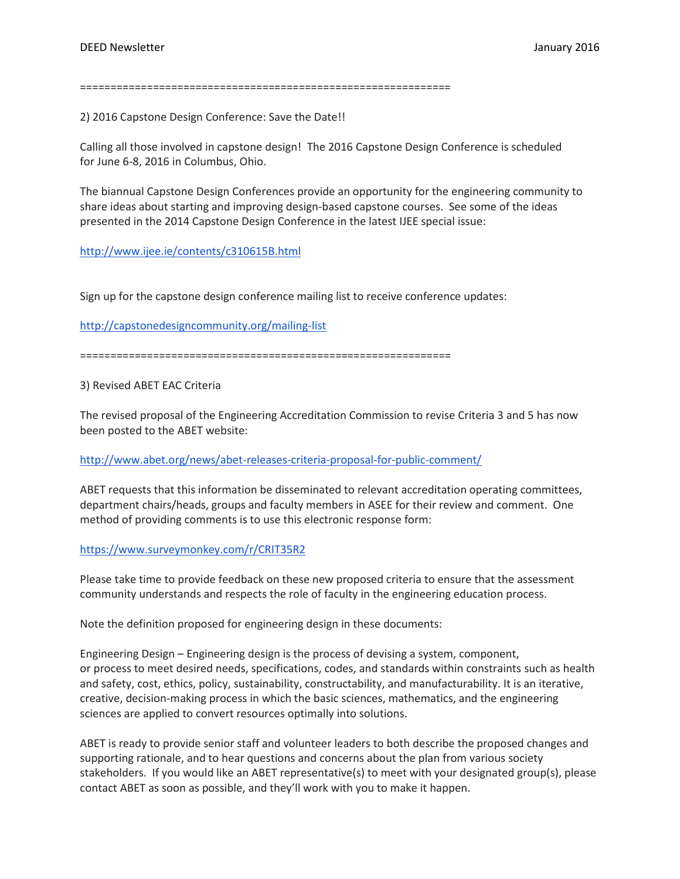=============================================================

2) 2016 Capstone Design Conference: Save the Date!!

Calling all those involved in capstone design! The 2016 Capstone Design Conference is scheduled for June 6-8, 2016 in Columbus, Ohio.

The biannual Capstone Design Conferences provide an opportunity for the engineering community to share ideas about starting and improving design-based capstone courses. See some of the ideas presented in the 2014 Capstone Design Conference in the latest IJEE special issue:

### <http://www.ijee.ie/contents/c310615B.html>

Sign up for the capstone design conference mailing list to receive conference updates:

<http://capstonedesigncommunity.org/mailing-list>

=============================================================

3) Revised ABET EAC Criteria

The revised proposal of the Engineering Accreditation Commission to revise Criteria 3 and 5 has now been posted to the ABET website:

### <http://www.abet.org/news/abet-releases-criteria-proposal-for-public-comment/>

ABET requests that this information be disseminated to relevant accreditation operating committees, department chairs/heads, groups and faculty members in ASEE for their review and comment. One method of providing comments is to use this electronic response form:

### <https://www.surveymonkey.com/r/CRIT35R2>

Please take time to provide feedback on these new proposed criteria to ensure that the assessment community understands and respects the role of faculty in the engineering education process.

Note the definition proposed for engineering design in these documents:

Engineering Design – Engineering design is the process of devising a system, component, or process to meet desired needs, specifications, codes, and standards within constraints such as health and safety, cost, ethics, policy, sustainability, constructability, and manufacturability. It is an iterative, creative, decision-making process in which the basic sciences, mathematics, and the engineering sciences are applied to convert resources optimally into solutions.

ABET is ready to provide senior staff and volunteer leaders to both describe the proposed changes and supporting rationale, and to hear questions and concerns about the plan from various society stakeholders. If you would like an ABET representative(s) to meet with your designated group(s), please contact ABET as soon as possible, and they'll work with you to make it happen.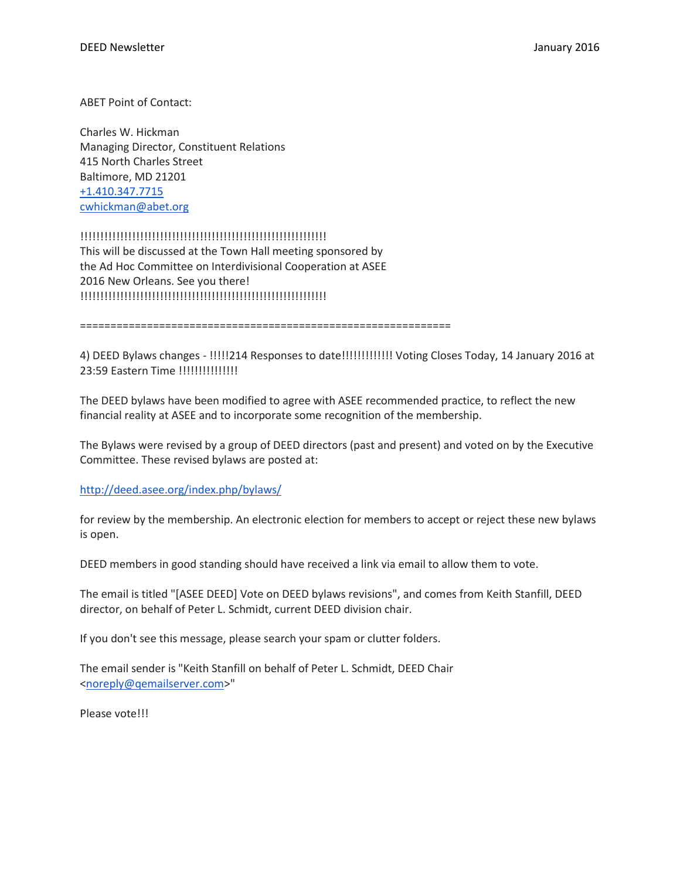ABET Point of Contact:

Charles W. Hickman Managing Director, Constituent Relations 415 North Charles Street Baltimore, MD 21201 [+1.410.347.7715](tel:%2B1.410.347.7715) [cwhickman@abet.org](mailto:cwhickman@abet.org)

## !!!!!!!!!!!!!!!!!!!!!!!!!!!!!!!!!!!!!!!!!!!!!!!!!!!!!!!!!!!!!!

This will be discussed at the Town Hall meeting sponsored by the Ad Hoc Committee on Interdivisional Cooperation at ASEE 2016 New Orleans. See you there! !!!!!!!!!!!!!!!!!!!!!!!!!!!!!!!!!!!!!!!!!!!!!!!!!!!!!!!!!!!!!!

=============================================================

4) DEED Bylaws changes - !!!!!214 Responses to date!!!!!!!!!!!!! Voting Closes Today, 14 January 2016 at 23:59 Eastern Time !!!!!!!!!!!!!!!!!

The DEED bylaws have been modified to agree with ASEE recommended practice, to reflect the new financial reality at ASEE and to incorporate some recognition of the membership.

The Bylaws were revised by a group of DEED directors (past and present) and voted on by the Executive Committee. These revised bylaws are posted at:

### <http://deed.asee.org/index.php/bylaws/>

for review by the membership. An electronic election for members to accept or reject these new bylaws is open.

DEED members in good standing should have received a link via email to allow them to vote.

The email is titled "[ASEE DEED] Vote on DEED bylaws revisions", and comes from Keith Stanfill, DEED director, on behalf of Peter L. Schmidt, current DEED division chair.

If you don't see this message, please search your spam or clutter folders.

The email sender is "Keith Stanfill on behalf of Peter L. Schmidt, DEED Chair [<noreply@qemailserver.com>](mailto:noreply@qemailserver.com)"

Please vote!!!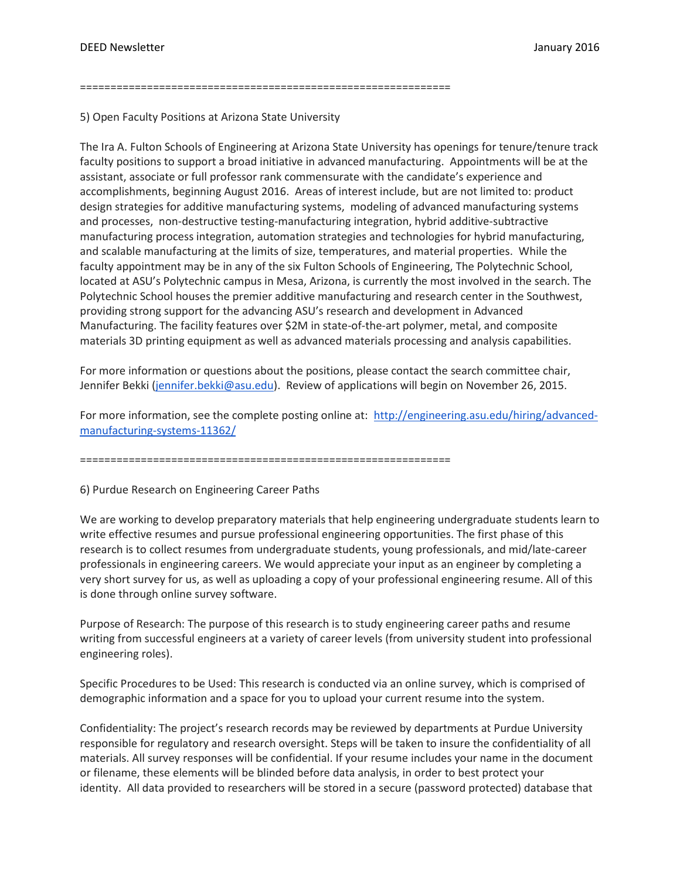=============================================================

5) Open Faculty Positions at Arizona State University

The Ira A. Fulton Schools of Engineering at Arizona State University has openings for tenure/tenure track faculty positions to support a broad initiative in advanced manufacturing. Appointments will be at the assistant, associate or full professor rank commensurate with the candidate's experience and accomplishments, beginning August 2016. Areas of interest include, but are not limited to: product design strategies for additive manufacturing systems, modeling of advanced manufacturing systems and processes, non-destructive testing-manufacturing integration, hybrid additive-subtractive manufacturing process integration, automation strategies and technologies for hybrid manufacturing, and scalable manufacturing at the limits of size, temperatures, and material properties. While the faculty appointment may be in any of the six Fulton Schools of Engineering, The Polytechnic School, located at ASU's Polytechnic campus in Mesa, Arizona, is currently the most involved in the search. The Polytechnic School houses the premier additive manufacturing and research center in the Southwest, providing strong support for the advancing ASU's research and development in Advanced Manufacturing. The facility features over \$2M in state-of-the-art polymer, metal, and composite materials 3D printing equipment as well as advanced materials processing and analysis capabilities.

For more information or questions about the positions, please contact the search committee chair, Jennifer Bekki [\(jennifer.bekki@asu.edu\)](mailto:jennifer.bekki@asu.edu). Review of applications will begin on November 26, 2015.

For more information, see the complete posting online at: [http://engineering.asu.edu/hiring/advanced](http://engineering.asu.edu/hiring/advanced-manufacturing-systems-11362/)[manufacturing-systems-11362/](http://engineering.asu.edu/hiring/advanced-manufacturing-systems-11362/)

=============================================================

6) Purdue Research on Engineering Career Paths

We are working to develop preparatory materials that help engineering undergraduate students learn to write effective resumes and pursue professional engineering opportunities. The first phase of this research is to collect resumes from undergraduate students, young professionals, and mid/late-career professionals in engineering careers. We would appreciate your input as an engineer by completing a very short survey for us, as well as uploading a copy of your professional engineering resume. All of this is done through online survey software.

Purpose of Research: The purpose of this research is to study engineering career paths and resume writing from successful engineers at a variety of career levels (from university student into professional engineering roles).

Specific Procedures to be Used: This research is conducted via an online survey, which is comprised of demographic information and a space for you to upload your current resume into the system.

Confidentiality: The project's research records may be reviewed by departments at Purdue University responsible for regulatory and research oversight. Steps will be taken to insure the confidentiality of all materials. All survey responses will be confidential. If your resume includes your name in the document or filename, these elements will be blinded before data analysis, in order to best protect your identity. All data provided to researchers will be stored in a secure (password protected) database that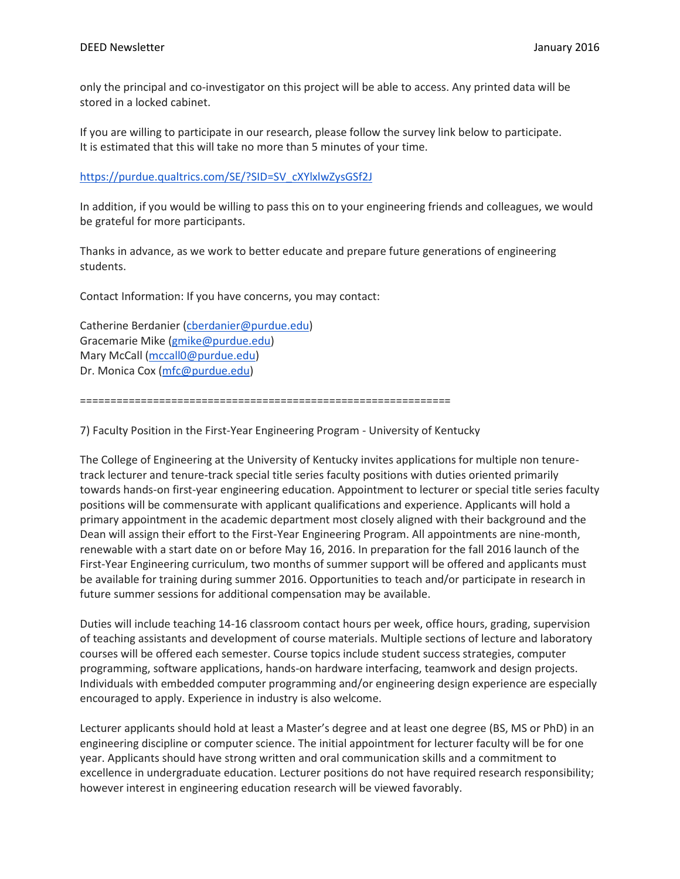only the principal and co-investigator on this project will be able to access. Any printed data will be stored in a locked cabinet.

If you are willing to participate in our research, please follow the survey link below to participate. It is estimated that this will take no more than 5 minutes of your time.

[https://purdue.qualtrics.com/SE/?SID=SV\\_cXYlxlwZysGSf2J](https://purdue.qualtrics.com/SE/?SID=SV_cXYlxlwZysGSf2J)

In addition, if you would be willing to pass this on to your engineering friends and colleagues, we would be grateful for more participants.

Thanks in advance, as we work to better educate and prepare future generations of engineering students.

Contact Information: If you have concerns, you may contact:

Catherine Berdanier [\(cberdanier@purdue.edu\)](mailto:cberdanier@purdue.edu) Gracemarie Mike [\(gmike@purdue.edu\)](mailto:gmike@purdue.edu) Mary McCall [\(mccall0@purdue.edu\)](mailto:mccall0@purdue.edu) Dr. Monica Cox [\(mfc@purdue.edu\)](mailto:mfc@purdue.edu)

=============================================================

7) Faculty Position in the First-Year Engineering Program - University of Kentucky

The College of Engineering at the University of Kentucky invites applications for multiple non tenuretrack lecturer and tenure-track special title series faculty positions with duties oriented primarily towards hands-on first-year engineering education. Appointment to lecturer or special title series faculty positions will be commensurate with applicant qualifications and experience. Applicants will hold a primary appointment in the academic department most closely aligned with their background and the Dean will assign their effort to the First-Year Engineering Program. All appointments are nine-month, renewable with a start date on or before May 16, 2016. In preparation for the fall 2016 launch of the First-Year Engineering curriculum, two months of summer support will be offered and applicants must be available for training during summer 2016. Opportunities to teach and/or participate in research in future summer sessions for additional compensation may be available.

Duties will include teaching 14-16 classroom contact hours per week, office hours, grading, supervision of teaching assistants and development of course materials. Multiple sections of lecture and laboratory courses will be offered each semester. Course topics include student success strategies, computer programming, software applications, hands-on hardware interfacing, teamwork and design projects. Individuals with embedded computer programming and/or engineering design experience are especially encouraged to apply. Experience in industry is also welcome.

Lecturer applicants should hold at least a Master's degree and at least one degree (BS, MS or PhD) in an engineering discipline or computer science. The initial appointment for lecturer faculty will be for one year. Applicants should have strong written and oral communication skills and a commitment to excellence in undergraduate education. Lecturer positions do not have required research responsibility; however interest in engineering education research will be viewed favorably.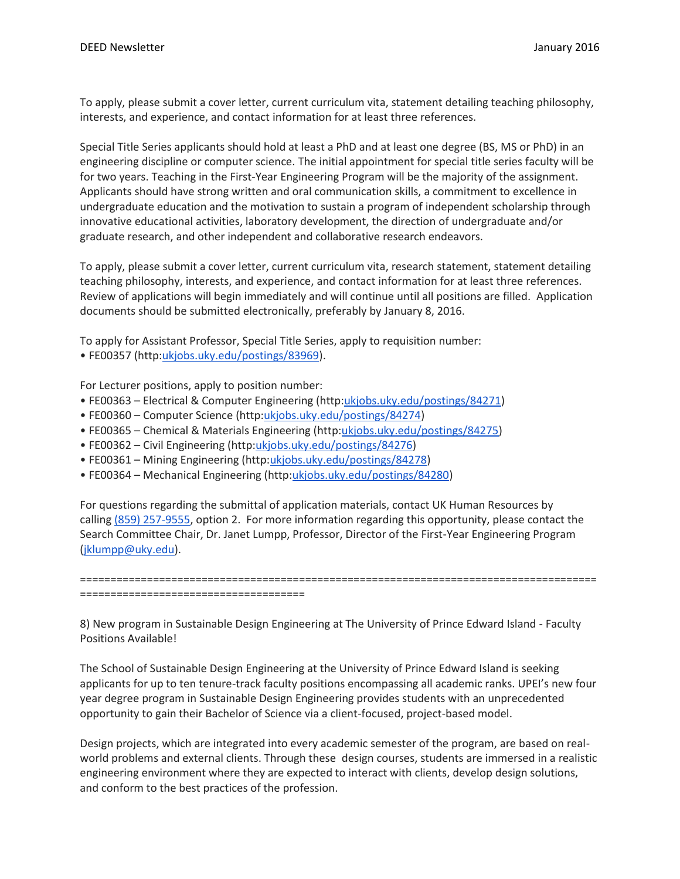To apply, please submit a cover letter, current curriculum vita, statement detailing teaching philosophy, interests, and experience, and contact information for at least three references.

Special Title Series applicants should hold at least a PhD and at least one degree (BS, MS or PhD) in an engineering discipline or computer science. The initial appointment for special title series faculty will be for two years. Teaching in the First-Year Engineering Program will be the majority of the assignment. Applicants should have strong written and oral communication skills, a commitment to excellence in undergraduate education and the motivation to sustain a program of independent scholarship through innovative educational activities, laboratory development, the direction of undergraduate and/or graduate research, and other independent and collaborative research endeavors.

To apply, please submit a cover letter, current curriculum vita, research statement, statement detailing teaching philosophy, interests, and experience, and contact information for at least three references. Review of applications will begin immediately and will continue until all positions are filled. Application documents should be submitted electronically, preferably by January 8, 2016.

To apply for Assistant Professor, Special Title Series, apply to requisition number:

• FE00357 (http:[ukjobs.uky.edu/postings/83969\)](http://ukjobs.uky.edu/postings/83969).

For Lecturer positions, apply to position number:

- FE00363 Electrical & Computer Engineering (http[:ukjobs.uky.edu/postings/84271\)](http://ukjobs.uky.edu/postings/84271)
- FE00360 Computer Science (http[:ukjobs.uky.edu/postings/84274\)](http://ukjobs.uky.edu/postings/84274)
- FE00365 Chemical & Materials Engineering (http[:ukjobs.uky.edu/postings/84275\)](http://ukjobs.uky.edu/postings/84275)
- FE00362 Civil Engineering (http[:ukjobs.uky.edu/postings/84276\)](http://ukjobs.uky.edu/postings/84276)
- FE00361 Mining Engineering (http[:ukjobs.uky.edu/postings/84278\)](http://ukjobs.uky.edu/postings/84278)
- FE00364 Mechanical Engineering (http[:ukjobs.uky.edu/postings/84280\)](http://ukjobs.uky.edu/postings/84280)

For questions regarding the submittal of application materials, contact UK Human Resources by calling [\(859\) 257-9555,](tel:%28859%29%20257-9555) option 2. For more information regarding this opportunity, please contact the Search Committee Chair, Dr. Janet Lumpp, Professor, Director of the First-Year Engineering Program [\(jklumpp@uky.edu\)](mailto:jklumpp@uky.edu).

===================================================================================== =====================================

8) New program in Sustainable Design Engineering at The University of Prince Edward Island - Faculty Positions Available!

The School of Sustainable Design Engineering at the University of Prince Edward Island is seeking applicants for up to ten tenure-track faculty positions encompassing all academic ranks. UPEI's new four year degree program in Sustainable Design Engineering provides students with an unprecedented opportunity to gain their Bachelor of Science via a client-focused, project-based model.

Design projects, which are integrated into every academic semester of the program, are based on realworld problems and external clients. Through these design courses, students are immersed in a realistic engineering environment where they are expected to interact with clients, develop design solutions, and conform to the best practices of the profession.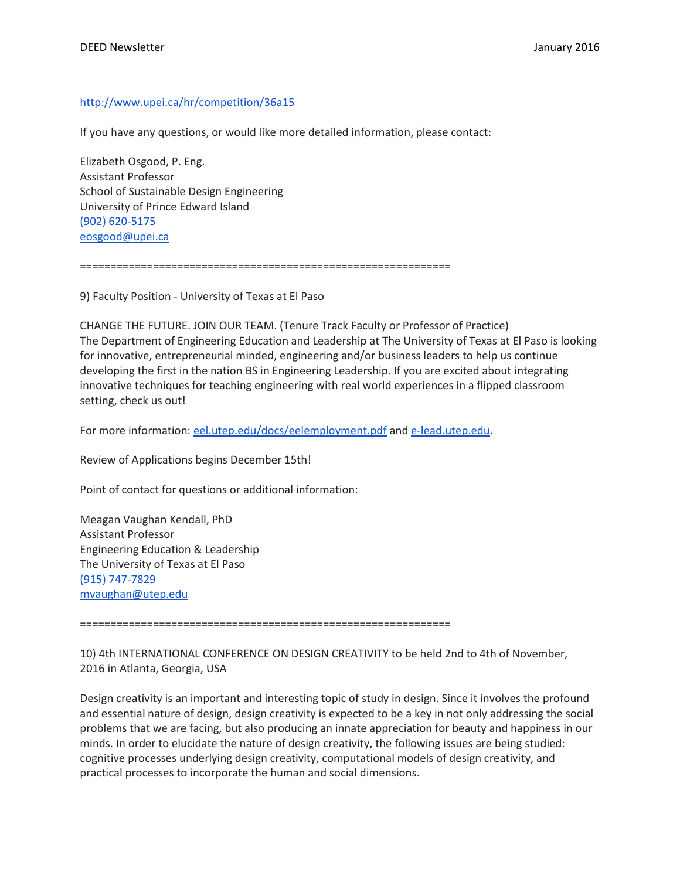# <http://www.upei.ca/hr/competition/36a15>

If you have any questions, or would like more detailed information, please contact:

Elizabeth Osgood, P. Eng. Assistant Professor School of Sustainable Design Engineering University of Prince Edward Island [\(902\) 620-5175](tel:%28902%29%20620-5175) [eosgood@upei.ca](mailto:eosgood@upei.ca)

=============================================================

9) Faculty Position - University of Texas at El Paso

CHANGE THE FUTURE. JOIN OUR TEAM. (Tenure Track Faculty or Professor of Practice) The Department of Engineering Education and Leadership at The University of Texas at El Paso is looking for innovative, entrepreneurial minded, engineering and/or business leaders to help us continue developing the first in the nation BS in Engineering Leadership. If you are excited about integrating innovative techniques for teaching engineering with real world experiences in a flipped classroom setting, check us out!

For more information: [eel.utep.edu/docs/eelemployment.pdf](http://eel.utep.edu/docs/eelemployment.pdf) and [e-lead.utep.edu.](http://e-lead.utep.edu/)

Review of Applications begins December 15th!

Point of contact for questions or additional information:

Meagan Vaughan Kendall, PhD Assistant Professor Engineering Education & Leadership The University of Texas at El Paso [\(915\) 747-7829](tel:%28915%29%20747-7829) [mvaughan@utep.edu](mailto:mvaughan@utep.edu)

=============================================================

10) 4th INTERNATIONAL CONFERENCE ON DESIGN CREATIVITY to be held 2nd to 4th of November, 2016 in Atlanta, Georgia, USA

Design creativity is an important and interesting topic of study in design. Since it involves the profound and essential nature of design, design creativity is expected to be a key in not only addressing the social problems that we are facing, but also producing an innate appreciation for beauty and happiness in our minds. In order to elucidate the nature of design creativity, the following issues are being studied: cognitive processes underlying design creativity, computational models of design creativity, and practical processes to incorporate the human and social dimensions.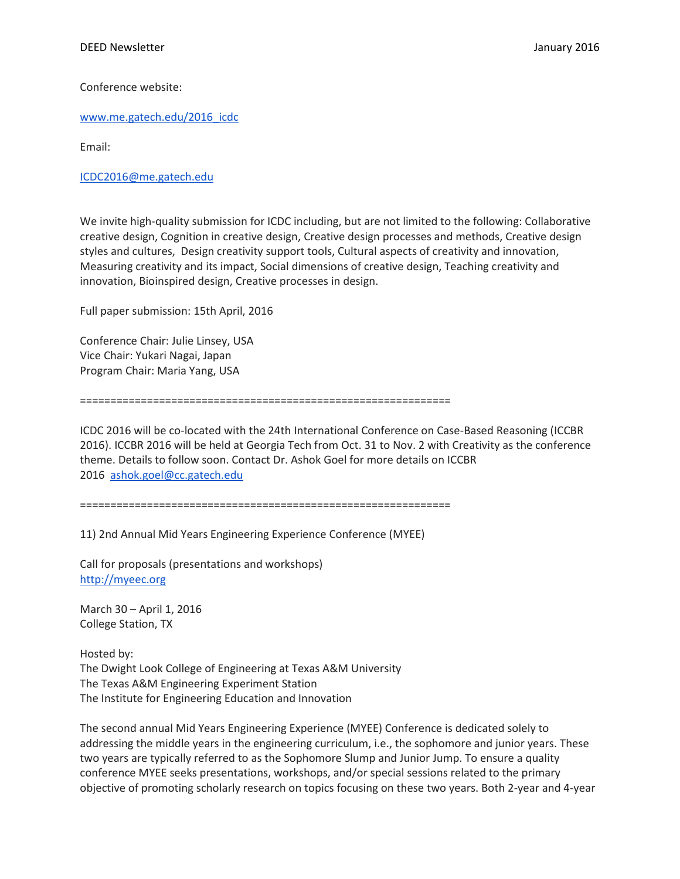Conference website:

[www.me.gatech.edu/2016\\_icdc](http://www.me.gatech.edu/2016_icdc)

Email:

[ICDC2016@me.gatech.edu](mailto:ICDC2016@me.gatech.edu)

We invite high-quality submission for ICDC including, but are not limited to the following: Collaborative creative design, Cognition in creative design, Creative design processes and methods, Creative design styles and cultures, Design creativity support tools, Cultural aspects of creativity and innovation, Measuring creativity and its impact, Social dimensions of creative design, Teaching creativity and innovation, Bioinspired design, Creative processes in design.

Full paper submission: 15th April, 2016

Conference Chair: Julie Linsey, USA Vice Chair: Yukari Nagai, Japan Program Chair: Maria Yang, USA

=============================================================

ICDC 2016 will be co-located with the 24th International Conference on Case-Based Reasoning (ICCBR 2016). ICCBR 2016 will be held at Georgia Tech from Oct. 31 to Nov. 2 with Creativity as the conference theme. Details to follow soon. Contact Dr. Ashok Goel for more details on ICCBR 2016 [ashok.goel@cc.gatech.edu](mailto:ashok.goel@cc.gatech.edu)

=============================================================

11) 2nd Annual Mid Years Engineering Experience Conference (MYEE)

Call for proposals (presentations and workshops) [http://myeec.org](http://myeec.org/)

March 30 – April 1, 2016 College Station, TX

Hosted by: The Dwight Look College of Engineering at Texas A&M University The Texas A&M Engineering Experiment Station The Institute for Engineering Education and Innovation

The second annual Mid Years Engineering Experience (MYEE) Conference is dedicated solely to addressing the middle years in the engineering curriculum, i.e., the sophomore and junior years. These two years are typically referred to as the Sophomore Slump and Junior Jump. To ensure a quality conference MYEE seeks presentations, workshops, and/or special sessions related to the primary objective of promoting scholarly research on topics focusing on these two years. Both 2-year and 4-year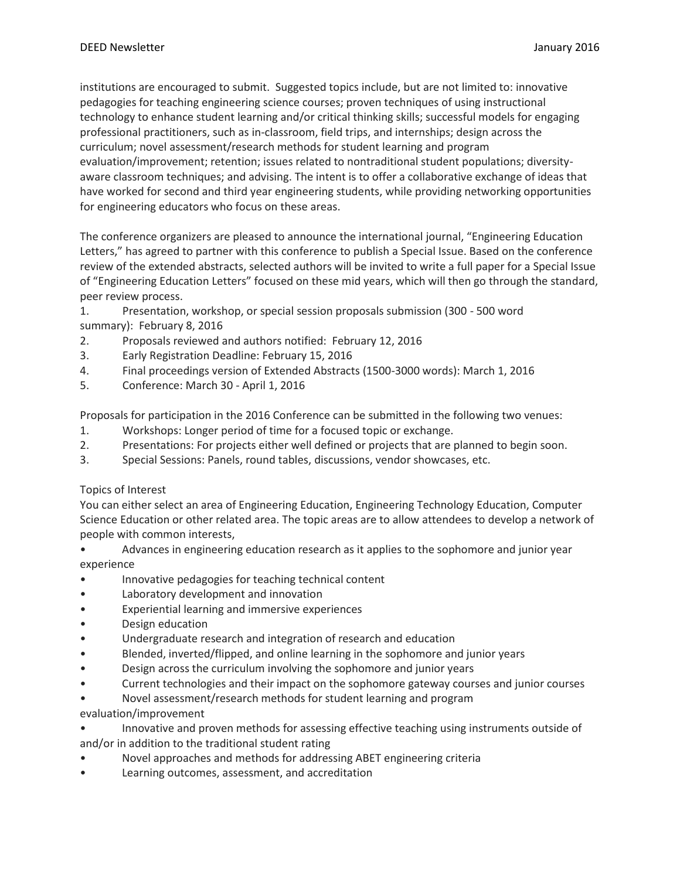institutions are encouraged to submit. Suggested topics include, but are not limited to: innovative pedagogies for teaching engineering science courses; proven techniques of using instructional technology to enhance student learning and/or critical thinking skills; successful models for engaging professional practitioners, such as in-classroom, field trips, and internships; design across the curriculum; novel assessment/research methods for student learning and program evaluation/improvement; retention; issues related to nontraditional student populations; diversityaware classroom techniques; and advising. The intent is to offer a collaborative exchange of ideas that have worked for second and third year engineering students, while providing networking opportunities for engineering educators who focus on these areas.

The conference organizers are pleased to announce the international journal, "Engineering Education Letters," has agreed to partner with this conference to publish a Special Issue. Based on the conference review of the extended abstracts, selected authors will be invited to write a full paper for a Special Issue of "Engineering Education Letters" focused on these mid years, which will then go through the standard, peer review process.

- 1. Presentation, workshop, or special session proposals submission (300 500 word
- summary): February 8, 2016
- 2. Proposals reviewed and authors notified: February 12, 2016
- 3. Early Registration Deadline: February 15, 2016
- 4. Final proceedings version of Extended Abstracts (1500-3000 words): March 1, 2016
- 5. Conference: March 30 April 1, 2016

Proposals for participation in the 2016 Conference can be submitted in the following two venues:

- 1. Workshops: Longer period of time for a focused topic or exchange.
- 2. Presentations: For projects either well defined or projects that are planned to begin soon.
- 3. Special Sessions: Panels, round tables, discussions, vendor showcases, etc.

## Topics of Interest

You can either select an area of Engineering Education, Engineering Technology Education, Computer Science Education or other related area. The topic areas are to allow attendees to develop a network of people with common interests,

- Advances in engineering education research as it applies to the sophomore and junior year experience
- Innovative pedagogies for teaching technical content
- Laboratory development and innovation
- Experiential learning and immersive experiences
- Design education
- Undergraduate research and integration of research and education
- Blended, inverted/flipped, and online learning in the sophomore and junior years
- Design across the curriculum involving the sophomore and junior years
- Current technologies and their impact on the sophomore gateway courses and junior courses
- Novel assessment/research methods for student learning and program
- evaluation/improvement
- Innovative and proven methods for assessing effective teaching using instruments outside of and/or in addition to the traditional student rating
- Novel approaches and methods for addressing ABET engineering criteria
- Learning outcomes, assessment, and accreditation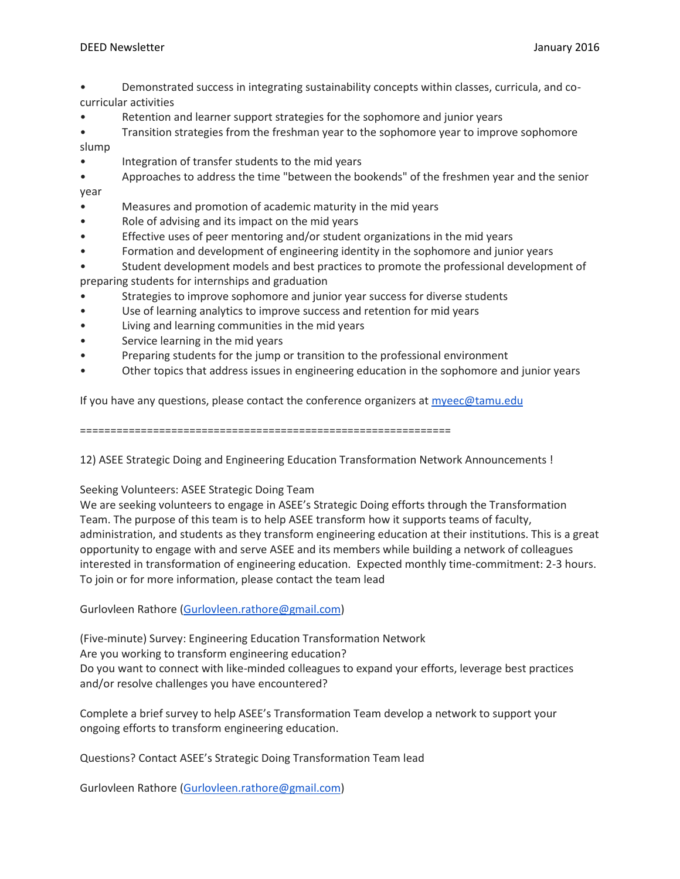- Demonstrated success in integrating sustainability concepts within classes, curricula, and cocurricular activities
- Retention and learner support strategies for the sophomore and junior years
- Transition strategies from the freshman year to the sophomore year to improve sophomore slump
- Integration of transfer students to the mid years
- Approaches to address the time "between the bookends" of the freshmen year and the senior year
- Measures and promotion of academic maturity in the mid years
- Role of advising and its impact on the mid years
- Effective uses of peer mentoring and/or student organizations in the mid years
- Formation and development of engineering identity in the sophomore and junior years
- Student development models and best practices to promote the professional development of preparing students for internships and graduation
- Strategies to improve sophomore and junior year success for diverse students
- Use of learning analytics to improve success and retention for mid years
- Living and learning communities in the mid years
- Service learning in the mid years
- Preparing students for the jump or transition to the professional environment
- Other topics that address issues in engineering education in the sophomore and junior years

If you have any questions, please contact the conference organizers at  $m$ yeec@tamu.edu

=============================================================

12) ASEE Strategic Doing and Engineering Education Transformation Network Announcements !

Seeking Volunteers: ASEE Strategic Doing Team

We are seeking volunteers to engage in ASEE's Strategic Doing efforts through the Transformation Team. The purpose of this team is to help ASEE transform how it supports teams of faculty, administration, and students as they transform engineering education at their institutions. This is a great opportunity to engage with and serve ASEE and its members while building a network of colleagues interested in transformation of engineering education. Expected monthly time-commitment: 2-3 hours. To join or for more information, please contact the team lead

Gurlovleen Rathore [\(Gurlovleen.rathore@gmail.com\)](mailto:Gurlovleen.rathore@gmail.com)

(Five-minute) Survey: Engineering Education Transformation Network Are you working to transform engineering education? Do you want to connect with like-minded colleagues to expand your efforts, leverage best practices and/or resolve challenges you have encountered?

Complete a brief survey to help ASEE's Transformation Team develop a network to support your ongoing efforts to transform engineering education.

Questions? Contact ASEE's Strategic Doing Transformation Team lead

Gurlovleen Rathore [\(Gurlovleen.rathore@gmail.com\)](mailto:Gurlovleen.rathore@gmail.com)